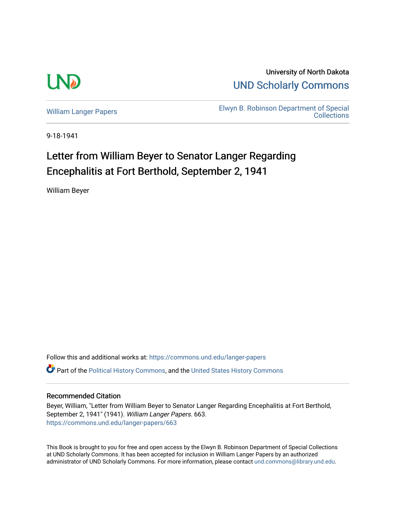

University of North Dakota [UND Scholarly Commons](https://commons.und.edu/) 

[William Langer Papers](https://commons.und.edu/langer-papers) **Elwyn B. Robinson Department of Special** [Collections](https://commons.und.edu/archives) 

9-18-1941

## Letter from William Beyer to Senator Langer Regarding Encephalitis at Fort Berthold, September 2, 1941

William Beyer

Follow this and additional works at: [https://commons.und.edu/langer-papers](https://commons.und.edu/langer-papers?utm_source=commons.und.edu%2Flanger-papers%2F663&utm_medium=PDF&utm_campaign=PDFCoverPages)  **C** Part of the [Political History Commons,](https://network.bepress.com/hgg/discipline/505?utm_source=commons.und.edu%2Flanger-papers%2F663&utm_medium=PDF&utm_campaign=PDFCoverPages) and the [United States History Commons](https://network.bepress.com/hgg/discipline/495?utm_source=commons.und.edu%2Flanger-papers%2F663&utm_medium=PDF&utm_campaign=PDFCoverPages)

## Recommended Citation

Beyer, William, "Letter from William Beyer to Senator Langer Regarding Encephalitis at Fort Berthold, September 2, 1941" (1941). William Langer Papers. 663. [https://commons.und.edu/langer-papers/663](https://commons.und.edu/langer-papers/663?utm_source=commons.und.edu%2Flanger-papers%2F663&utm_medium=PDF&utm_campaign=PDFCoverPages) 

This Book is brought to you for free and open access by the Elwyn B. Robinson Department of Special Collections at UND Scholarly Commons. It has been accepted for inclusion in William Langer Papers by an authorized administrator of UND Scholarly Commons. For more information, please contact [und.commons@library.und.edu.](mailto:und.commons@library.und.edu)